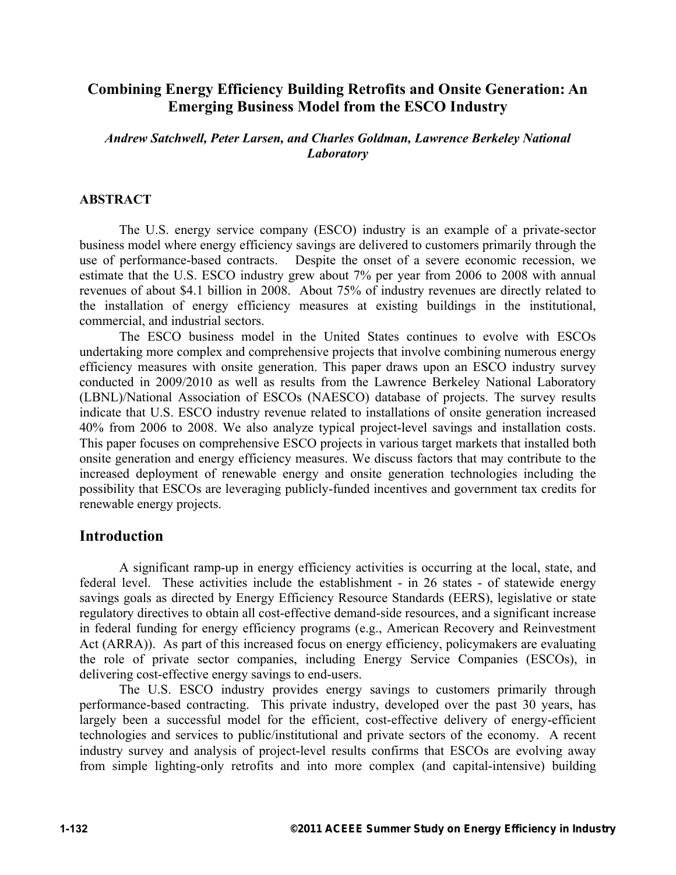# **Combining Energy Efficiency Building Retrofits and Onsite Generation: An Emerging Business Model from the ESCO Industry**

*Andrew Satchwell, Peter Larsen, and Charles Goldman, Lawrence Berkeley National Laboratory* 

#### **ABSTRACT**

The U.S. energy service company (ESCO) industry is an example of a private-sector business model where energy efficiency savings are delivered to customers primarily through the use of performance-based contracts. Despite the onset of a severe economic recession, we estimate that the U.S. ESCO industry grew about 7% per year from 2006 to 2008 with annual revenues of about \$4.1 billion in 2008. About 75% of industry revenues are directly related to the installation of energy efficiency measures at existing buildings in the institutional, commercial, and industrial sectors.

The ESCO business model in the United States continues to evolve with ESCOs undertaking more complex and comprehensive projects that involve combining numerous energy efficiency measures with onsite generation. This paper draws upon an ESCO industry survey conducted in 2009/2010 as well as results from the Lawrence Berkeley National Laboratory (LBNL)/National Association of ESCOs (NAESCO) database of projects. The survey results indicate that U.S. ESCO industry revenue related to installations of onsite generation increased 40% from 2006 to 2008. We also analyze typical project-level savings and installation costs. This paper focuses on comprehensive ESCO projects in various target markets that installed both onsite generation and energy efficiency measures. We discuss factors that may contribute to the increased deployment of renewable energy and onsite generation technologies including the possibility that ESCOs are leveraging publicly-funded incentives and government tax credits for renewable energy projects.

## **Introduction**

A significant ramp-up in energy efficiency activities is occurring at the local, state, and federal level. These activities include the establishment - in 26 states - of statewide energy savings goals as directed by Energy Efficiency Resource Standards (EERS), legislative or state regulatory directives to obtain all cost-effective demand-side resources, and a significant increase in federal funding for energy efficiency programs (e.g., American Recovery and Reinvestment Act (ARRA)). As part of this increased focus on energy efficiency, policymakers are evaluating the role of private sector companies, including Energy Service Companies (ESCOs), in delivering cost-effective energy savings to end-users.

The U.S. ESCO industry provides energy savings to customers primarily through performance-based contracting. This private industry, developed over the past 30 years, has largely been a successful model for the efficient, cost-effective delivery of energy-efficient technologies and services to public/institutional and private sectors of the economy. A recent industry survey and analysis of project-level results confirms that ESCOs are evolving away from simple lighting-only retrofits and into more complex (and capital-intensive) building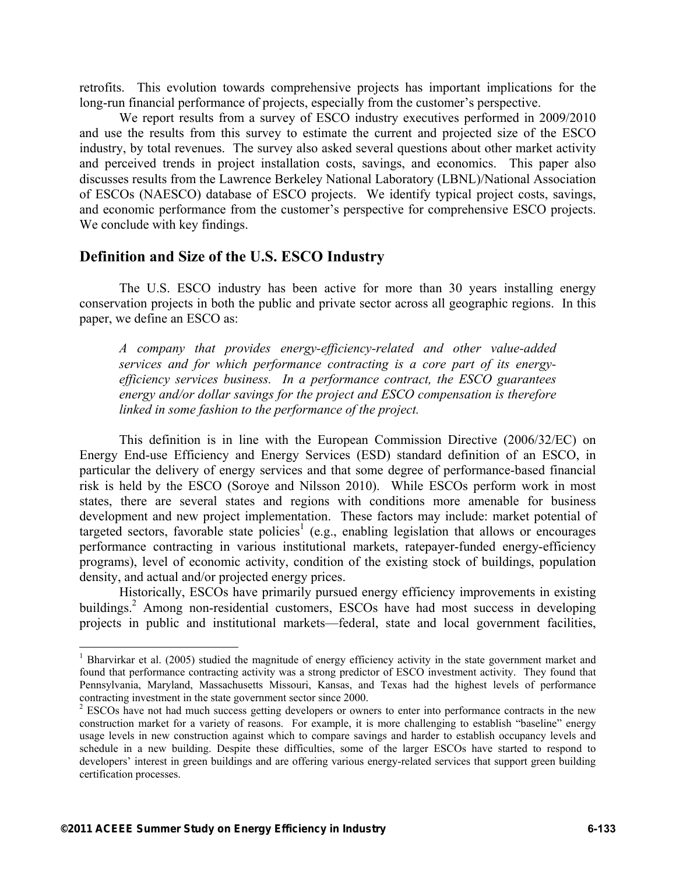retrofits. This evolution towards comprehensive projects has important implications for the long-run financial performance of projects, especially from the customer's perspective.

We report results from a survey of ESCO industry executives performed in 2009/2010 and use the results from this survey to estimate the current and projected size of the ESCO industry, by total revenues. The survey also asked several questions about other market activity and perceived trends in project installation costs, savings, and economics. This paper also discusses results from the Lawrence Berkeley National Laboratory (LBNL)/National Association of ESCOs (NAESCO) database of ESCO projects. We identify typical project costs, savings, and economic performance from the customer's perspective for comprehensive ESCO projects. We conclude with key findings.

## **Definition and Size of the U.S. ESCO Industry**

The U.S. ESCO industry has been active for more than 30 years installing energy conservation projects in both the public and private sector across all geographic regions. In this paper, we define an ESCO as:

*A company that provides energy-efficiency-related and other value-added services and for which performance contracting is a core part of its energyefficiency services business. In a performance contract, the ESCO guarantees energy and/or dollar savings for the project and ESCO compensation is therefore linked in some fashion to the performance of the project.* 

This definition is in line with the European Commission Directive (2006/32/EC) on Energy End-use Efficiency and Energy Services (ESD) standard definition of an ESCO, in particular the delivery of energy services and that some degree of performance-based financial risk is held by the ESCO (Soroye and Nilsson 2010). While ESCOs perform work in most states, there are several states and regions with conditions more amenable for business development and new project implementation. These factors may include: market potential of targeted sectors, favorable state policies<sup>1</sup> (e.g., enabling legislation that allows or encourages performance contracting in various institutional markets, ratepayer-funded energy-efficiency programs), level of economic activity, condition of the existing stock of buildings, population density, and actual and/or projected energy prices.

Historically, ESCOs have primarily pursued energy efficiency improvements in existing buildings.<sup>2</sup> Among non-residential customers, ESCOs have had most success in developing projects in public and institutional markets—federal, state and local government facilities,

 $\overline{a}$ 

<sup>&</sup>lt;sup>1</sup> Bharvirkar et al. (2005) studied the magnitude of energy efficiency activity in the state government market and found that performance contracting activity was a strong predictor of ESCO investment activity. They found that Pennsylvania, Maryland, Massachusetts Missouri, Kansas, and Texas had the highest levels of performance contracting investment in the state government sector since 2000.

<sup>&</sup>lt;sup>2</sup> ESCOs have not had much success getting developers or owners to enter into performance contracts in the new construction market for a variety of reasons. For example, it is more challenging to establish "baseline" energy usage levels in new construction against which to compare savings and harder to establish occupancy levels and schedule in a new building. Despite these difficulties, some of the larger ESCOs have started to respond to developers' interest in green buildings and are offering various energy-related services that support green building certification processes.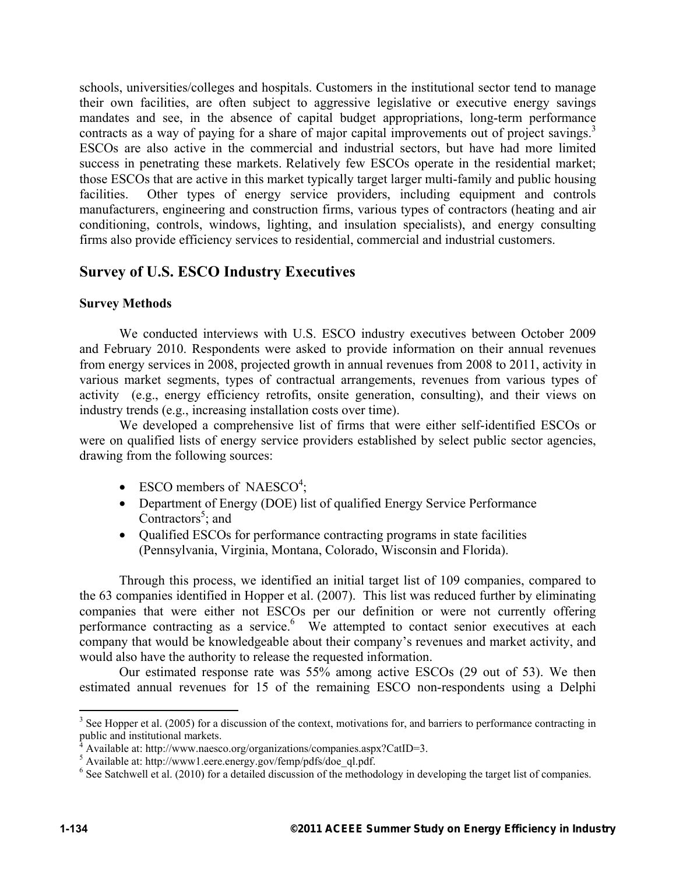schools, universities/colleges and hospitals. Customers in the institutional sector tend to manage their own facilities, are often subject to aggressive legislative or executive energy savings mandates and see, in the absence of capital budget appropriations, long-term performance contracts as a way of paying for a share of major capital improvements out of project savings.<sup>3</sup> ESCOs are also active in the commercial and industrial sectors, but have had more limited success in penetrating these markets. Relatively few ESCOs operate in the residential market; those ESCOs that are active in this market typically target larger multi-family and public housing facilities. Other types of energy service providers, including equipment and controls manufacturers, engineering and construction firms, various types of contractors (heating and air conditioning, controls, windows, lighting, and insulation specialists), and energy consulting firms also provide efficiency services to residential, commercial and industrial customers.

# **Survey of U.S. ESCO Industry Executives**

### **Survey Methods**

We conducted interviews with U.S. ESCO industry executives between October 2009 and February 2010. Respondents were asked to provide information on their annual revenues from energy services in 2008, projected growth in annual revenues from 2008 to 2011, activity in various market segments, types of contractual arrangements, revenues from various types of activity (e.g., energy efficiency retrofits, onsite generation, consulting), and their views on industry trends (e.g., increasing installation costs over time).

We developed a comprehensive list of firms that were either self-identified ESCOs or were on qualified lists of energy service providers established by select public sector agencies, drawing from the following sources:

- ESCO members of NAESCO<sup>4</sup>;
- Department of Energy (DOE) list of qualified Energy Service Performance Contractors<sup>5</sup>; and
- Qualified ESCOs for performance contracting programs in state facilities (Pennsylvania, Virginia, Montana, Colorado, Wisconsin and Florida).

Through this process, we identified an initial target list of 109 companies, compared to the 63 companies identified in Hopper et al. (2007). This list was reduced further by eliminating companies that were either not ESCOs per our definition or were not currently offering performance contracting as a service.<sup>6</sup> We attempted to contact senior executives at each company that would be knowledgeable about their company's revenues and market activity, and would also have the authority to release the requested information.

Our estimated response rate was 55% among active ESCOs (29 out of 53). We then estimated annual revenues for 15 of the remaining ESCO non-respondents using a Delphi

 $\overline{a}$ 

 $3$  See Hopper et al. (2005) for a discussion of the context, motivations for, and barriers to performance contracting in

public and institutional markets.<br><sup>4</sup> Available at: http://www.naesco.org/organizations/companies.aspx?CatID=3.

<sup>5</sup> Available at: http://www1.eere.energy.gov/femp/pdfs/doe\_ql.pdf.

<sup>&</sup>lt;sup>6</sup> See Satchwell et al. (2010) for a detailed discussion of the methodology in developing the target list of companies.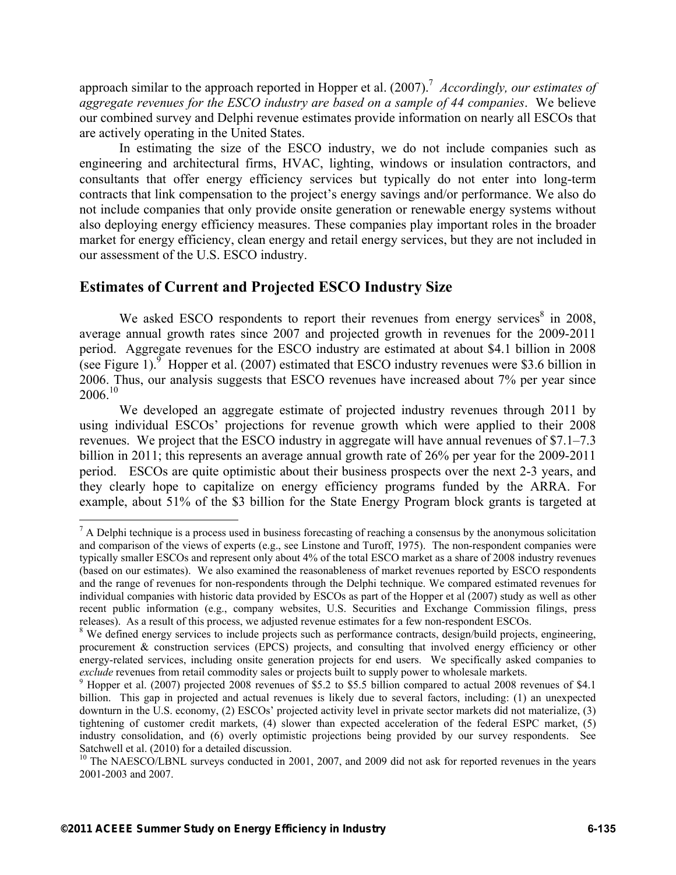approach similar to the approach reported in Hopper et al. (2007).<sup>7</sup> *Accordingly, our estimates of aggregate revenues for the ESCO industry are based on a sample of 44 companies*. We believe our combined survey and Delphi revenue estimates provide information on nearly all ESCOs that are actively operating in the United States.

In estimating the size of the ESCO industry, we do not include companies such as engineering and architectural firms, HVAC, lighting, windows or insulation contractors, and consultants that offer energy efficiency services but typically do not enter into long-term contracts that link compensation to the project's energy savings and/or performance. We also do not include companies that only provide onsite generation or renewable energy systems without also deploying energy efficiency measures. These companies play important roles in the broader market for energy efficiency, clean energy and retail energy services, but they are not included in our assessment of the U.S. ESCO industry.

# **Estimates of Current and Projected ESCO Industry Size**

We asked ESCO respondents to report their revenues from energy services $8$  in 2008, average annual growth rates since 2007 and projected growth in revenues for the 2009-2011 period. Aggregate revenues for the ESCO industry are estimated at about \$4.1 billion in 2008 (see Figure 1).  $\frac{9}{9}$  Hopper et al. (2007) estimated that ESCO industry revenues were \$3.6 billion in 2006. Thus, our analysis suggests that ESCO revenues have increased about 7% per year since  $2006^{10}$ 

We developed an aggregate estimate of projected industry revenues through 2011 by using individual ESCOs' projections for revenue growth which were applied to their 2008 revenues. We project that the ESCO industry in aggregate will have annual revenues of \$7.1–7.3 billion in 2011; this represents an average annual growth rate of 26% per year for the 2009-2011 period. ESCOs are quite optimistic about their business prospects over the next 2-3 years, and they clearly hope to capitalize on energy efficiency programs funded by the ARRA. For example, about 51% of the \$3 billion for the State Energy Program block grants is targeted at

1

 $<sup>7</sup>$  A Delphi technique is a process used in business forecasting of reaching a consensus by the anonymous solicitation</sup> and comparison of the views of experts (e.g., see Linstone and Turoff, 1975). The non-respondent companies were typically smaller ESCOs and represent only about 4% of the total ESCO market as a share of 2008 industry revenues (based on our estimates). We also examined the reasonableness of market revenues reported by ESCO respondents and the range of revenues for non-respondents through the Delphi technique. We compared estimated revenues for individual companies with historic data provided by ESCOs as part of the Hopper et al (2007) study as well as other recent public information (e.g., company websites, U.S. Securities and Exchange Commission filings, press releases). As a result of this process, we adjusted revenue estimates for a few non-respondent ESCOs. 8

<sup>&</sup>lt;sup>8</sup> We defined energy services to include projects such as performance contracts, design/build projects, engineering, procurement & construction services (EPCS) projects, and consulting that involved energy efficiency or other energy-related services, including onsite generation projects for end users. We specifically asked companies to *exclude* revenues from retail commodity sales or projects built to supply power to wholesale markets.<br><sup>9</sup> Hopper et al. (2007) projected 2008 revenues of \$5.2 to \$5.5 billion compared to actual 2008 revenues of \$4.1

billion. This gap in projected and actual revenues is likely due to several factors, including: (1) an unexpected downturn in the U.S. economy, (2) ESCOs' projected activity level in private sector markets did not materialize, (3) tightening of customer credit markets, (4) slower than expected acceleration of the federal ESPC market, (5) industry consolidation, and (6) overly optimistic projections being provided by our survey respondents. See Satchwell et al. (2010) for a detailed discussion.

<sup>&</sup>lt;sup>10</sup> The NAESCO/LBNL surveys conducted in 2001, 2007, and 2009 did not ask for reported revenues in the years 2001-2003 and 2007.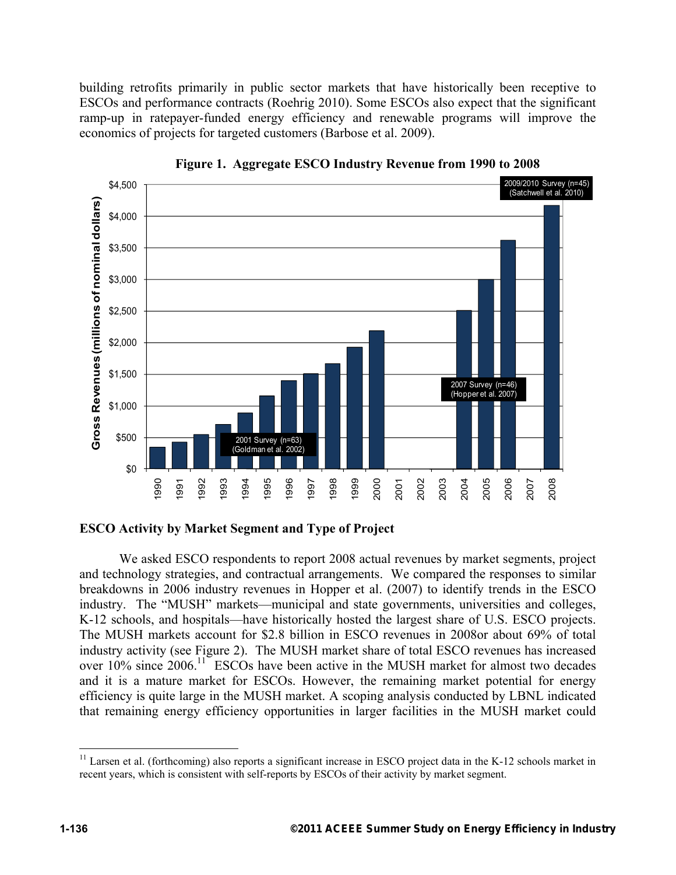building retrofits primarily in public sector markets that have historically been receptive to ESCOs and performance contracts (Roehrig 2010). Some ESCOs also expect that the significant ramp-up in ratepayer-funded energy efficiency and renewable programs will improve the economics of projects for targeted customers (Barbose et al. 2009).



**Figure 1. Aggregate ESCO Industry Revenue from 1990 to 2008** 

### **ESCO Activity by Market Segment and Type of Project**

We asked ESCO respondents to report 2008 actual revenues by market segments, project and technology strategies, and contractual arrangements. We compared the responses to similar breakdowns in 2006 industry revenues in Hopper et al. (2007) to identify trends in the ESCO industry. The "MUSH" markets—municipal and state governments, universities and colleges, K-12 schools, and hospitals—have historically hosted the largest share of U.S. ESCO projects. The MUSH markets account for \$2.8 billion in ESCO revenues in 2008or about 69% of total industry activity (see Figure 2). The MUSH market share of total ESCO revenues has increased over  $10\%$  since  $2006$ .<sup>11</sup> ESCOs have been active in the MUSH market for almost two decades and it is a mature market for ESCOs. However, the remaining market potential for energy efficiency is quite large in the MUSH market. A scoping analysis conducted by LBNL indicated that remaining energy efficiency opportunities in larger facilities in the MUSH market could

 $\overline{a}$ 

 $11$  Larsen et al. (forthcoming) also reports a significant increase in ESCO project data in the K-12 schools market in recent years, which is consistent with self-reports by ESCOs of their activity by market segment.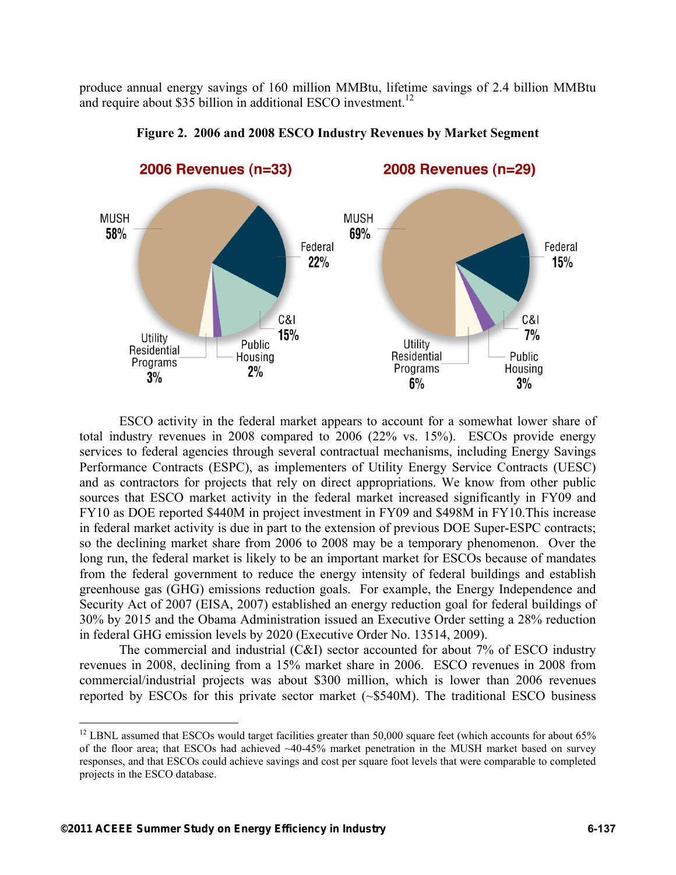produce annual energy savings of 160 million MMBtu, lifetime savings of 2.4 billion MMBtu and require about \$35 billion in additional ESCO investment.<sup>12</sup>



**Figure 2. 2006 and 2008 ESCO Industry Revenues by Market Segment** 

ESCO activity in the federal market appears to account for a somewhat lower share of total industry revenues in 2008 compared to 2006 (22% vs. 15%). ESCOs provide energy services to federal agencies through several contractual mechanisms, including Energy Savings Performance Contracts (ESPC), as implementers of Utility Energy Service Contracts (UESC) and as contractors for projects that rely on direct appropriations. We know from other public sources that ESCO market activity in the federal market increased significantly in FY09 and FY10 as DOE reported \$440M in project investment in FY09 and \$498M in FY10.This increase in federal market activity is due in part to the extension of previous DOE Super-ESPC contracts; so the declining market share from 2006 to 2008 may be a temporary phenomenon. Over the long run, the federal market is likely to be an important market for ESCOs because of mandates from the federal government to reduce the energy intensity of federal buildings and establish greenhouse gas (GHG) emissions reduction goals. For example, the Energy Independence and Security Act of 2007 (EISA, 2007) established an energy reduction goal for federal buildings of 30% by 2015 and the Obama Administration issued an Executive Order setting a 28% reduction in federal GHG emission levels by 2020 (Executive Order No. 13514, 2009).

The commercial and industrial (C&I) sector accounted for about 7% of ESCO industry revenues in 2008, declining from a 15% market share in 2006. ESCO revenues in 2008 from commercial/industrial projects was about \$300 million, which is lower than 2006 revenues reported by ESCOs for this private sector market (~\$540M). The traditional ESCO business

1

 $12$  LBNL assumed that ESCOs would target facilities greater than 50,000 square feet (which accounts for about 65% of the floor area; that ESCOs had achieved ~40-45% market penetration in the MUSH market based on survey responses, and that ESCOs could achieve savings and cost per square foot levels that were comparable to completed projects in the ESCO database.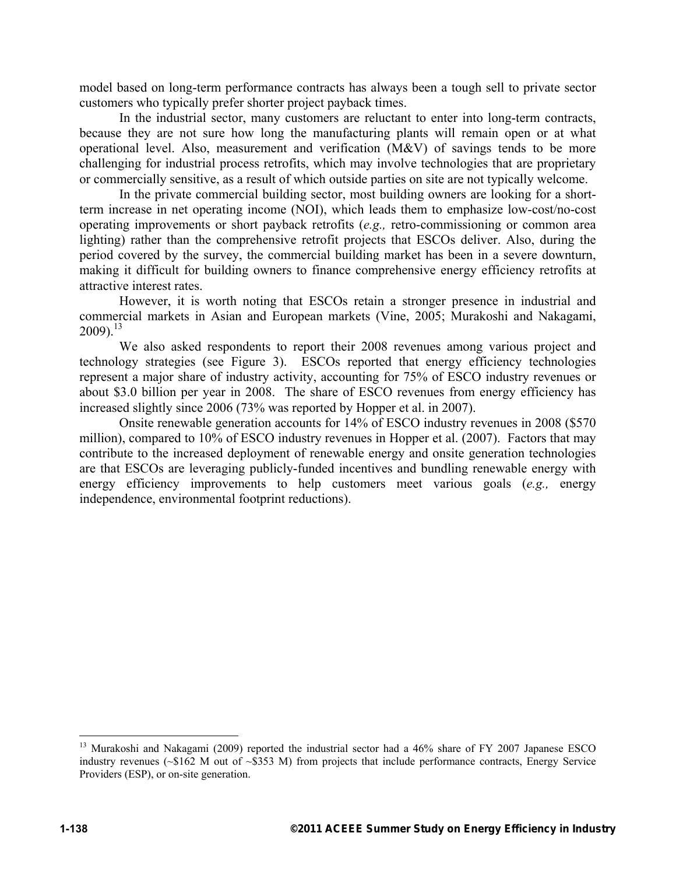model based on long-term performance contracts has always been a tough sell to private sector customers who typically prefer shorter project payback times.

In the industrial sector, many customers are reluctant to enter into long-term contracts, because they are not sure how long the manufacturing plants will remain open or at what operational level. Also, measurement and verification (M&V) of savings tends to be more challenging for industrial process retrofits, which may involve technologies that are proprietary or commercially sensitive, as a result of which outside parties on site are not typically welcome.

In the private commercial building sector, most building owners are looking for a shortterm increase in net operating income (NOI), which leads them to emphasize low-cost/no-cost operating improvements or short payback retrofits (*e.g.,* retro-commissioning or common area lighting) rather than the comprehensive retrofit projects that ESCOs deliver. Also, during the period covered by the survey, the commercial building market has been in a severe downturn, making it difficult for building owners to finance comprehensive energy efficiency retrofits at attractive interest rates.

However, it is worth noting that ESCOs retain a stronger presence in industrial and commercial markets in Asian and European markets (Vine, 2005; Murakoshi and Nakagami,  $2009$ ).<sup>13</sup>

We also asked respondents to report their 2008 revenues among various project and technology strategies (see Figure 3). ESCOs reported that energy efficiency technologies represent a major share of industry activity, accounting for 75% of ESCO industry revenues or about \$3.0 billion per year in 2008. The share of ESCO revenues from energy efficiency has increased slightly since 2006 (73% was reported by Hopper et al. in 2007).

Onsite renewable generation accounts for 14% of ESCO industry revenues in 2008 (\$570 million), compared to 10% of ESCO industry revenues in Hopper et al. (2007). Factors that may contribute to the increased deployment of renewable energy and onsite generation technologies are that ESCOs are leveraging publicly-funded incentives and bundling renewable energy with energy efficiency improvements to help customers meet various goals (*e.g.,* energy independence, environmental footprint reductions).

<u>.</u>

<sup>&</sup>lt;sup>13</sup> Murakoshi and Nakagami (2009) reported the industrial sector had a 46% share of FY 2007 Japanese ESCO industry revenues ( $\sim $162$  M out of  $\sim $353$  M) from projects that include performance contracts, Energy Service Providers (ESP), or on-site generation.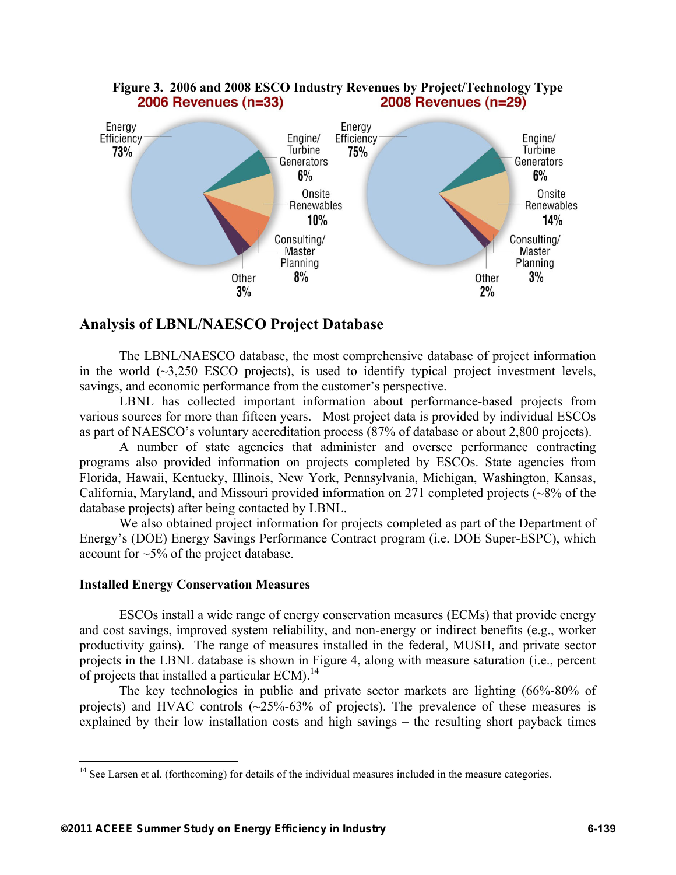

# Figure 3. 2006 and 2008 ESCO Industry Revenues by Project/Technology Type<br>**2006 Revenues (n=33) 2008 Revenues (n=29) 2006 Revenues (n=33)**

# **Analysis of LBNL/NAESCO Project Database**

The LBNL/NAESCO database, the most comprehensive database of project information in the world  $(\sim3.250$  ESCO projects), is used to identify typical project investment levels, savings, and economic performance from the customer's perspective.

LBNL has collected important information about performance-based projects from various sources for more than fifteen years. Most project data is provided by individual ESCOs as part of NAESCO's voluntary accreditation process (87% of database or about 2,800 projects).

A number of state agencies that administer and oversee performance contracting programs also provided information on projects completed by ESCOs. State agencies from Florida, Hawaii, Kentucky, Illinois, New York, Pennsylvania, Michigan, Washington, Kansas, California, Maryland, and Missouri provided information on 271 completed projects (~8% of the database projects) after being contacted by LBNL.

We also obtained project information for projects completed as part of the Department of Energy's (DOE) Energy Savings Performance Contract program (i.e. DOE Super-ESPC), which account for ~5% of the project database.

### **Installed Energy Conservation Measures**

 $\overline{a}$ 

ESCOs install a wide range of energy conservation measures (ECMs) that provide energy and cost savings, improved system reliability, and non-energy or indirect benefits (e.g., worker productivity gains). The range of measures installed in the federal, MUSH, and private sector projects in the LBNL database is shown in Figure 4, along with measure saturation (i.e., percent of projects that installed a particular ECM).14

The key technologies in public and private sector markets are lighting (66%-80% of projects) and HVAC controls  $(\sim 25\% - 63\%$  of projects). The prevalence of these measures is explained by their low installation costs and high savings – the resulting short payback times

<sup>&</sup>lt;sup>14</sup> See Larsen et al. (forthcoming) for details of the individual measures included in the measure categories.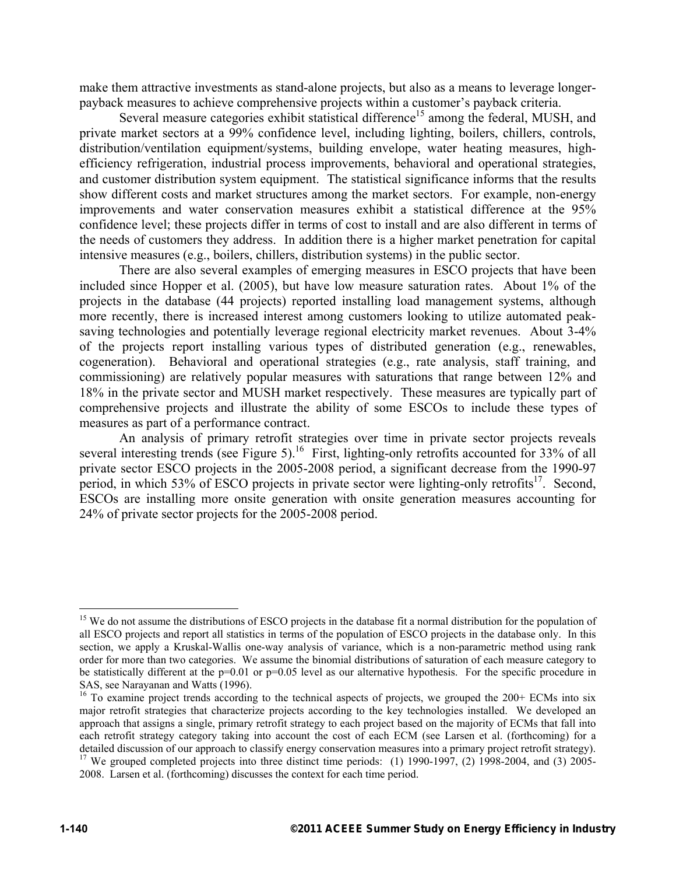make them attractive investments as stand-alone projects, but also as a means to leverage longerpayback measures to achieve comprehensive projects within a customer's payback criteria.

Several measure categories exhibit statistical difference<sup>15</sup> among the federal, MUSH, and private market sectors at a 99% confidence level, including lighting, boilers, chillers, controls, distribution/ventilation equipment/systems, building envelope, water heating measures, highefficiency refrigeration, industrial process improvements, behavioral and operational strategies, and customer distribution system equipment. The statistical significance informs that the results show different costs and market structures among the market sectors. For example, non-energy improvements and water conservation measures exhibit a statistical difference at the 95% confidence level; these projects differ in terms of cost to install and are also different in terms of the needs of customers they address. In addition there is a higher market penetration for capital intensive measures (e.g., boilers, chillers, distribution systems) in the public sector.

There are also several examples of emerging measures in ESCO projects that have been included since Hopper et al. (2005), but have low measure saturation rates. About 1% of the projects in the database (44 projects) reported installing load management systems, although more recently, there is increased interest among customers looking to utilize automated peaksaving technologies and potentially leverage regional electricity market revenues. About 3-4% of the projects report installing various types of distributed generation (e.g., renewables, cogeneration). Behavioral and operational strategies (e.g., rate analysis, staff training, and commissioning) are relatively popular measures with saturations that range between 12% and 18% in the private sector and MUSH market respectively. These measures are typically part of comprehensive projects and illustrate the ability of some ESCOs to include these types of measures as part of a performance contract.

An analysis of primary retrofit strategies over time in private sector projects reveals several interesting trends (see Figure 5).<sup>16</sup> First, lighting-only retrofits accounted for 33% of all private sector ESCO projects in the 2005-2008 period, a significant decrease from the 1990-97 period, in which 53% of ESCO projects in private sector were lighting-only retrofits<sup>17</sup>. Second, ESCOs are installing more onsite generation with onsite generation measures accounting for 24% of private sector projects for the 2005-2008 period.

1

<sup>&</sup>lt;sup>15</sup> We do not assume the distributions of ESCO projects in the database fit a normal distribution for the population of all ESCO projects and report all statistics in terms of the population of ESCO projects in the database only. In this section, we apply a Kruskal-Wallis one-way analysis of variance, which is a non-parametric method using rank order for more than two categories. We assume the binomial distributions of saturation of each measure category to be statistically different at the  $p=0.01$  or  $p=0.05$  level as our alternative hypothesis. For the specific procedure in SAS, see Narayanan and Watts (1996).

<sup>&</sup>lt;sup>16</sup> To examine project trends according to the technical aspects of projects, we grouped the 200+ ECMs into six major retrofit strategies that characterize projects according to the key technologies installed. We developed an approach that assigns a single, primary retrofit strategy to each project based on the majority of ECMs that fall into each retrofit strategy category taking into account the cost of each ECM (see Larsen et al. (forthcoming) for a detailed discussion of our approach to classify energy conservation measures into a primary project retrofit strategy). <sup>17</sup> We grouped completed projects into three distinct time periods: (1) 1990-1997, (2) 1998-2004, and (3) 2005-2008. Larsen et al. (forthcoming) discusses the context for each time period.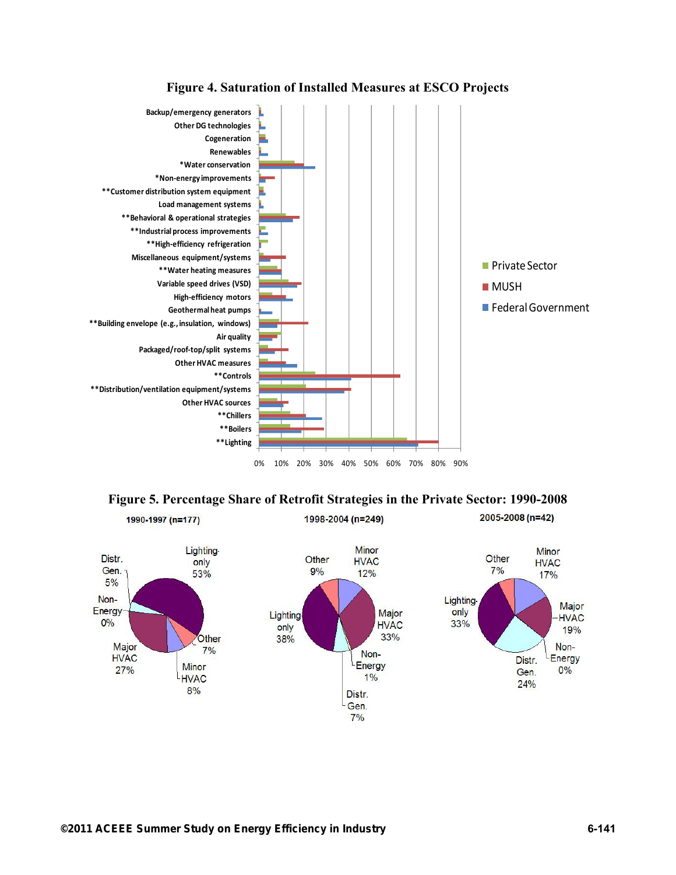

### **Figure 4. Saturation of Installed Measures at ESCO Projects**



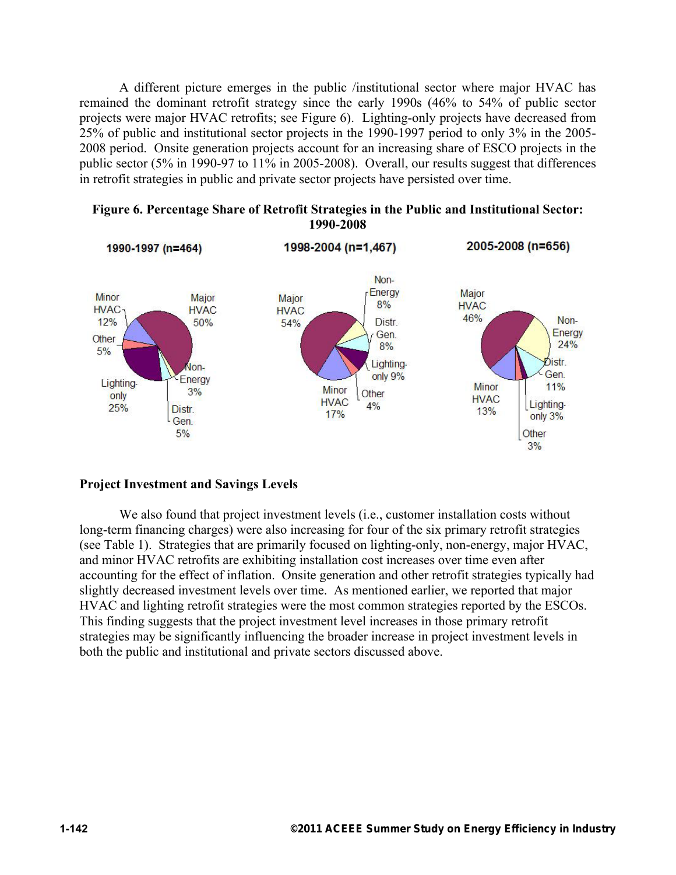A different picture emerges in the public /institutional sector where major HVAC has remained the dominant retrofit strategy since the early 1990s (46% to 54% of public sector projects were major HVAC retrofits; see Figure 6). Lighting-only projects have decreased from 25% of public and institutional sector projects in the 1990-1997 period to only 3% in the 2005- 2008 period. Onsite generation projects account for an increasing share of ESCO projects in the public sector (5% in 1990-97 to 11% in 2005-2008). Overall, our results suggest that differences in retrofit strategies in public and private sector projects have persisted over time.



#### **Figure 6. Percentage Share of Retrofit Strategies in the Public and Institutional Sector: 1990-2008**

### **Project Investment and Savings Levels**

We also found that project investment levels (i.e., customer installation costs without long-term financing charges) were also increasing for four of the six primary retrofit strategies (see Table 1). Strategies that are primarily focused on lighting-only, non-energy, major HVAC, and minor HVAC retrofits are exhibiting installation cost increases over time even after accounting for the effect of inflation. Onsite generation and other retrofit strategies typically had slightly decreased investment levels over time. As mentioned earlier, we reported that major HVAC and lighting retrofit strategies were the most common strategies reported by the ESCOs. This finding suggests that the project investment level increases in those primary retrofit strategies may be significantly influencing the broader increase in project investment levels in both the public and institutional and private sectors discussed above.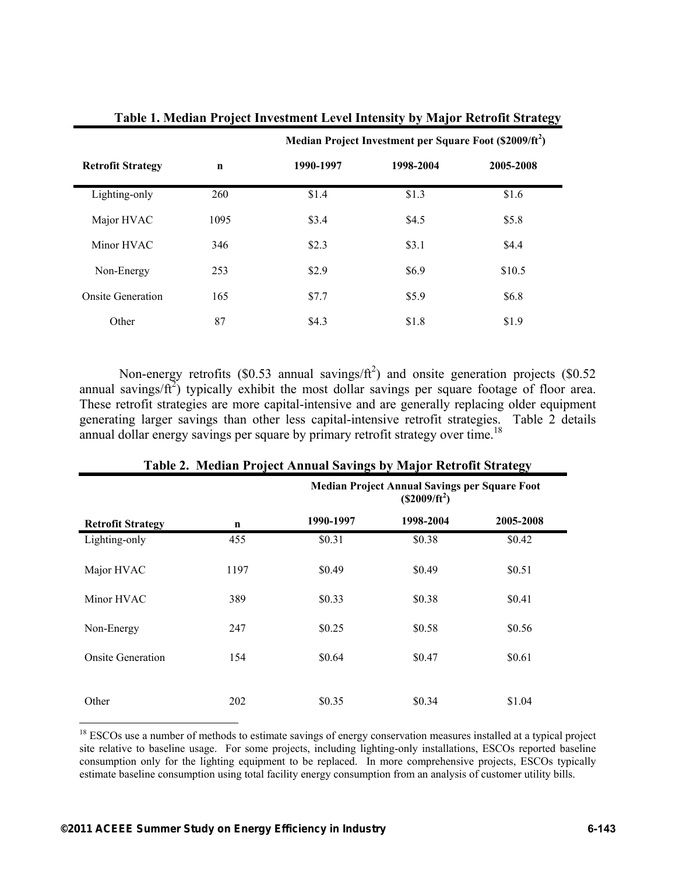|                          |             | Median Project Investment per Square Foot (\$2009/ft <sup>2</sup> ) |           |           |
|--------------------------|-------------|---------------------------------------------------------------------|-----------|-----------|
| <b>Retrofit Strategy</b> | $\mathbf n$ | 1990-1997                                                           | 1998-2004 | 2005-2008 |
| Lighting-only            | 260         | \$1.4                                                               | \$1.3     | \$1.6     |
| Major HVAC               | 1095        | \$3.4                                                               | \$4.5     | \$5.8\$   |
| Minor HVAC               | 346         | \$2.3                                                               | \$3.1     | \$4.4     |
| Non-Energy               | 253         | \$2.9                                                               | \$6.9     | \$10.5    |
| <b>Onsite Generation</b> | 165         | \$7.7                                                               | \$5.9     | \$6.8     |
| Other                    | 87          | \$4.3                                                               | \$1.8     | \$1.9     |

**Table 1. Median Project Investment Level Intensity by Major Retrofit Strategy** 

Non-energy retrofits (\$0.53 annual savings/ $ft^2$ ) and onsite generation projects (\$0.52 annual savings/ $ft^2$ ) typically exhibit the most dollar savings per square footage of floor area. These retrofit strategies are more capital-intensive and are generally replacing older equipment generating larger savings than other less capital-intensive retrofit strategies. Table 2 details

|                          |             | <b>Median Project Annual Savings per Square Foot</b><br>$($2009/ft^2)$ |           |           |
|--------------------------|-------------|------------------------------------------------------------------------|-----------|-----------|
| <b>Retrofit Strategy</b> | $\mathbf n$ | 1990-1997                                                              | 1998-2004 | 2005-2008 |
| Lighting-only            | 455         | \$0.31                                                                 | \$0.38    | \$0.42    |
| Major HVAC               | 1197        | \$0.49                                                                 | \$0.49    | \$0.51    |
| Minor HVAC               | 389         | \$0.33                                                                 | \$0.38    | \$0.41    |
| Non-Energy               | 247         | \$0.25                                                                 | \$0.58    | \$0.56    |
| <b>Onsite Generation</b> | 154         | \$0.64                                                                 | \$0.47    | \$0.61    |
|                          |             |                                                                        |           |           |
| Other                    | 202         | \$0.35                                                                 | \$0.34    | \$1.04    |

### **Table 2. Median Project Annual Savings by Major Retrofit Strategy**

annual dollar energy savings per square by primary retrofit strategy over time.<sup>18</sup>

 $\overline{a}$ <sup>18</sup> ESCOs use a number of methods to estimate savings of energy conservation measures installed at a typical project site relative to baseline usage. For some projects, including lighting-only installations, ESCOs reported baseline consumption only for the lighting equipment to be replaced. In more comprehensive projects, ESCOs typically estimate baseline consumption using total facility energy consumption from an analysis of customer utility bills.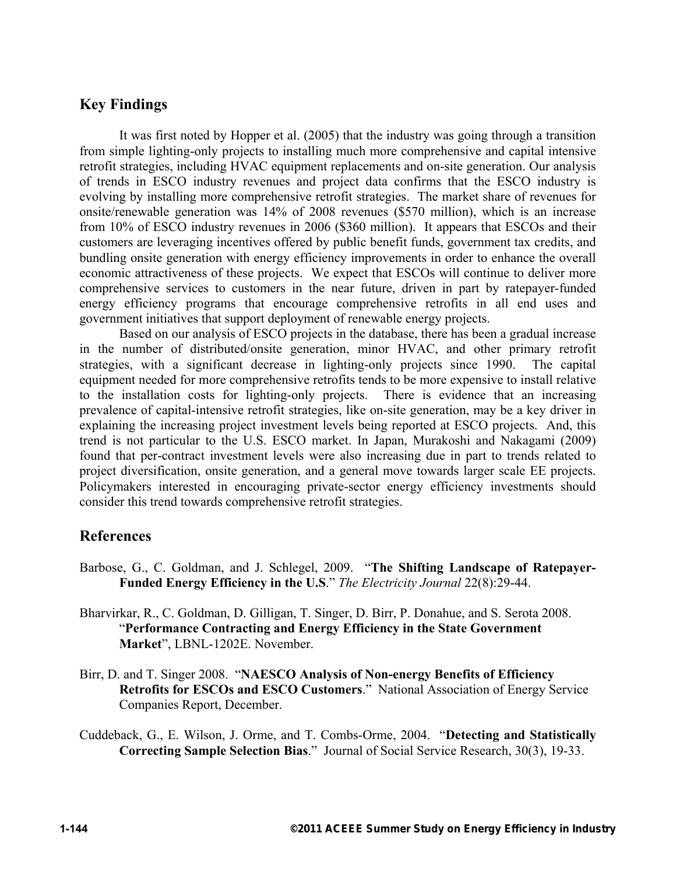# **Key Findings**

It was first noted by Hopper et al. (2005) that the industry was going through a transition from simple lighting-only projects to installing much more comprehensive and capital intensive retrofit strategies, including HVAC equipment replacements and on-site generation. Our analysis of trends in ESCO industry revenues and project data confirms that the ESCO industry is evolving by installing more comprehensive retrofit strategies. The market share of revenues for onsite/renewable generation was 14% of 2008 revenues (\$570 million), which is an increase from 10% of ESCO industry revenues in 2006 (\$360 million). It appears that ESCOs and their customers are leveraging incentives offered by public benefit funds, government tax credits, and bundling onsite generation with energy efficiency improvements in order to enhance the overall economic attractiveness of these projects. We expect that ESCOs will continue to deliver more comprehensive services to customers in the near future, driven in part by ratepayer-funded energy efficiency programs that encourage comprehensive retrofits in all end uses and government initiatives that support deployment of renewable energy projects.

Based on our analysis of ESCO projects in the database, there has been a gradual increase in the number of distributed/onsite generation, minor HVAC, and other primary retrofit strategies, with a significant decrease in lighting-only projects since 1990. The capital equipment needed for more comprehensive retrofits tends to be more expensive to install relative to the installation costs for lighting-only projects. There is evidence that an increasing prevalence of capital-intensive retrofit strategies, like on-site generation, may be a key driver in explaining the increasing project investment levels being reported at ESCO projects. And, this trend is not particular to the U.S. ESCO market. In Japan, Murakoshi and Nakagami (2009) found that per-contract investment levels were also increasing due in part to trends related to project diversification, onsite generation, and a general move towards larger scale EE projects. Policymakers interested in encouraging private-sector energy efficiency investments should consider this trend towards comprehensive retrofit strategies.

### **References**

- Barbose, G., C. Goldman, and J. Schlegel, 2009. "**The Shifting Landscape of Ratepayer-Funded Energy Efficiency in the U.S**." *The Electricity Journal* 22(8):29-44.
- Bharvirkar, R., C. Goldman, D. Gilligan, T. Singer, D. Birr, P. Donahue, and S. Serota 2008. "**Performance Contracting and Energy Efficiency in the State Government Market**", LBNL-1202E. November.
- Birr, D. and T. Singer 2008. "**NAESCO Analysis of Non-energy Benefits of Efficiency Retrofits for ESCOs and ESCO Customers**." National Association of Energy Service Companies Report, December.
- Cuddeback, G., E. Wilson, J. Orme, and T. Combs-Orme, 2004. "**Detecting and Statistically Correcting Sample Selection Bias**." Journal of Social Service Research, 30(3), 19-33.